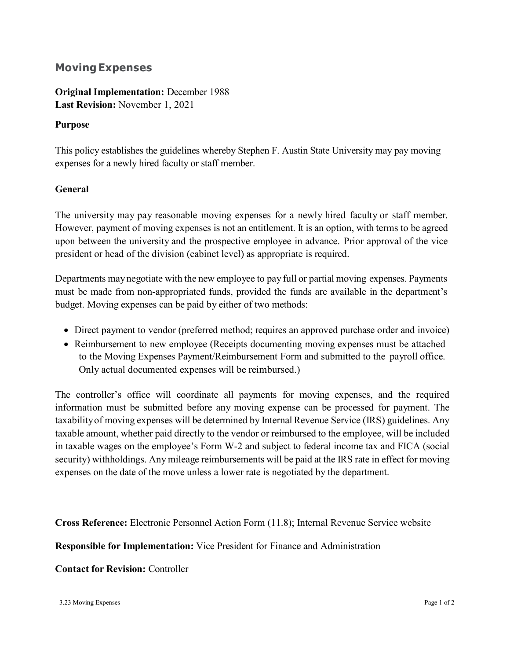## **Moving Expenses**

**Original Implementation:** December 1988 **Last Revision:** November 1, 2021

## **Purpose**

This policy establishes the guidelines whereby Stephen F. Austin State University may pay moving expenses for a newly hired faculty or staff member.

## **General**

The university may pay reasonable moving expenses for a newly hired faculty or staff member. However, payment of moving expenses is not an entitlement. It is an option, with terms to be agreed upon between the university and the prospective employee in advance. Prior approval of the vice president or head of the division (cabinet level) as appropriate is required.

Departments maynegotiate with the new employee to pay full or partial moving expenses. Payments must be made from non-appropriated funds, provided the funds are available in the department's budget. Moving expenses can be paid by either of two methods:

- Direct payment to vendor (preferred method; requires an approved purchase order and invoice)
- Reimbursement to new employee (Receipts documenting moving expenses must be attached to the Moving Expenses [Payment/Reimbursement](http://www.sfasu.edu/3386.asp) Form and submitted to the payroll office. Only actual documented expenses will be reimbursed.)

The controller's office will coordinate all payments for moving expenses, and the required information must be submitted before any moving expense can be processed for payment. The taxabilityof moving expenses will be determined by Internal Revenue Service (IRS) guidelines. Any taxable amount, whether paid directly to the vendor or reimbursed to the employee, will be included in taxable wages on the employee's Form W-2 and subject to federal income tax and FICA (social security) withholdings. Any mileage reimbursements will be paid at the IRS rate in effect for moving expenses on the date of the move unless a lower rate is negotiated by the department.

**Cross Reference:** Electronic Personnel Action Form (11.8); Internal Revenue Service website

**Responsible for Implementation:** Vice President for Finance and Administration

## **Contact for Revision:** Controller